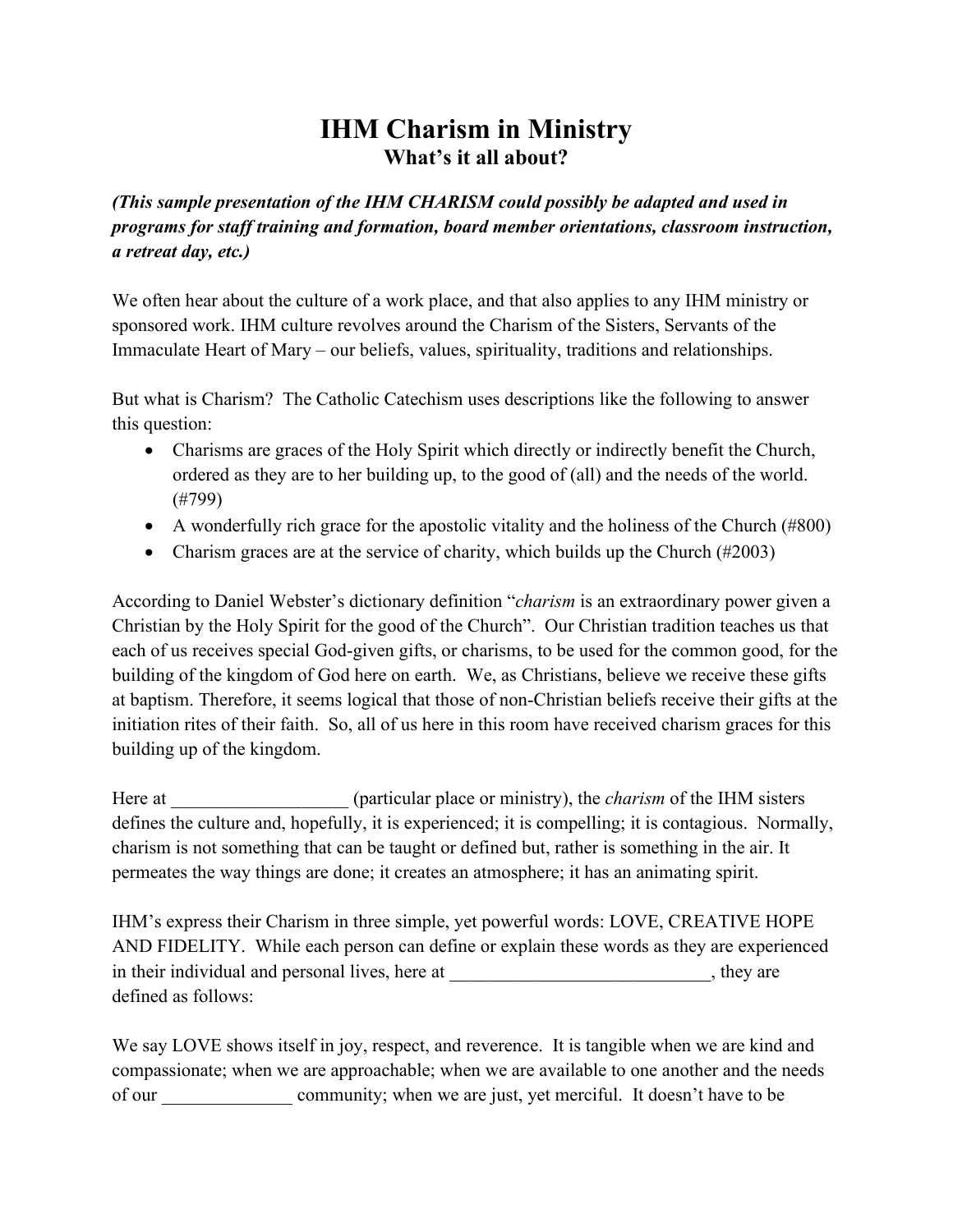## **IHM Charism in Ministry What's it all about?**

*(This sample presentation of the IHM CHARISM could possibly be adapted and used in programs for staff training and formation, board member orientations, classroom instruction, a retreat day, etc.)*

We often hear about the culture of a work place, and that also applies to any IHM ministry or sponsored work. IHM culture revolves around the Charism of the Sisters, Servants of the Immaculate Heart of Mary – our beliefs, values, spirituality, traditions and relationships.

But what is Charism? The Catholic Catechism uses descriptions like the following to answer this question:

- Charisms are graces of the Holy Spirit which directly or indirectly benefit the Church, ordered as they are to her building up, to the good of (all) and the needs of the world. (#799)
- A wonderfully rich grace for the apostolic vitality and the holiness of the Church (#800)
- Charism graces are at the service of charity, which builds up the Church (#2003)

According to Daniel Webster's dictionary definition "*charism* is an extraordinary power given a Christian by the Holy Spirit for the good of the Church". Our Christian tradition teaches us that each of us receives special God-given gifts, or charisms, to be used for the common good, for the building of the kingdom of God here on earth. We, as Christians, believe we receive these gifts at baptism. Therefore, it seems logical that those of non-Christian beliefs receive their gifts at the initiation rites of their faith. So, all of us here in this room have received charism graces for this building up of the kingdom.

Here at  $($ particular place or ministry), the *charism* of the IHM sisters defines the culture and, hopefully, it is experienced; it is compelling; it is contagious. Normally, charism is not something that can be taught or defined but, rather is something in the air. It permeates the way things are done; it creates an atmosphere; it has an animating spirit.

IHM's express their Charism in three simple, yet powerful words: LOVE, CREATIVE HOPE AND FIDELITY. While each person can define or explain these words as they are experienced in their individual and personal lives, here at \_\_\_\_\_\_\_\_\_\_\_\_\_\_\_\_\_\_\_\_\_\_\_\_\_, they are defined as follows:

We say LOVE shows itself in joy, respect, and reverence. It is tangible when we are kind and compassionate; when we are approachable; when we are available to one another and the needs of our \_\_\_\_\_\_\_\_\_\_\_\_\_\_ community; when we are just, yet merciful. It doesn't have to be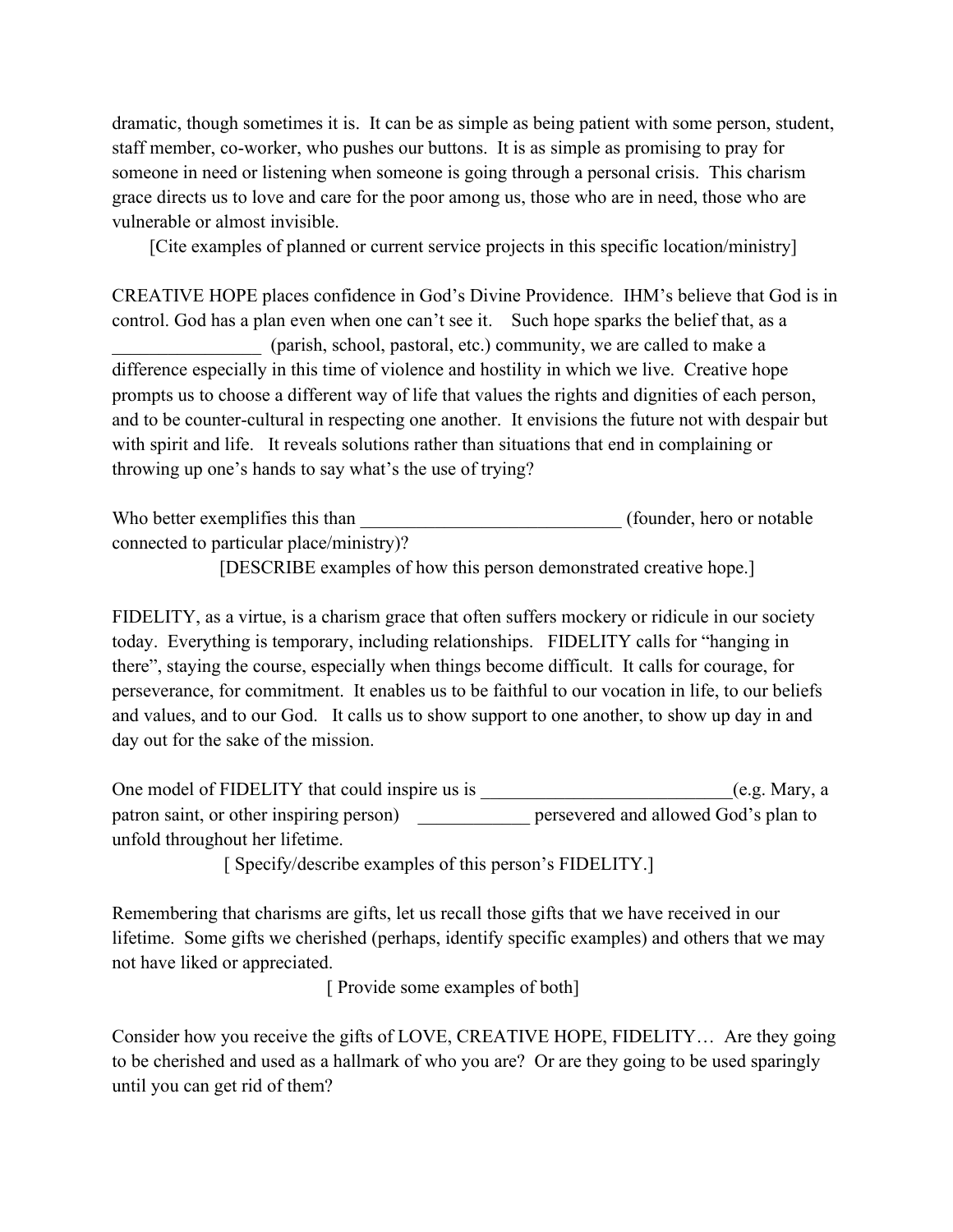dramatic, though sometimes it is. It can be as simple as being patient with some person, student, staff member, co-worker, who pushes our buttons. It is as simple as promising to pray for someone in need or listening when someone is going through a personal crisis. This charism grace directs us to love and care for the poor among us, those who are in need, those who are vulnerable or almost invisible.

[Cite examples of planned or current service projects in this specific location/ministry]

CREATIVE HOPE places confidence in God's Divine Providence. IHM's believe that God is in control. God has a plan even when one can't see it. Such hope sparks the belief that, as a \_\_\_\_\_\_\_\_\_\_\_\_\_\_\_\_ (parish, school, pastoral, etc.) community, we are called to make a difference especially in this time of violence and hostility in which we live. Creative hope prompts us to choose a different way of life that values the rights and dignities of each person, and to be counter-cultural in respecting one another. It envisions the future not with despair but with spirit and life. It reveals solutions rather than situations that end in complaining or throwing up one's hands to say what's the use of trying?

Who better exemplifies this than  $(founder, hero \ or \ notable$ connected to particular place/ministry)?

[DESCRIBE examples of how this person demonstrated creative hope.]

FIDELITY, as a virtue, is a charism grace that often suffers mockery or ridicule in our society today. Everything is temporary, including relationships. FIDELITY calls for "hanging in there", staying the course, especially when things become difficult. It calls for courage, for perseverance, for commitment. It enables us to be faithful to our vocation in life, to our beliefs and values, and to our God. It calls us to show support to one another, to show up day in and day out for the sake of the mission.

One model of FIDELITY that could inspire us is  $(e.g. Mary, a$ patron saint, or other inspiring person) persevered and allowed God's plan to unfold throughout her lifetime.

[ Specify/describe examples of this person's FIDELITY.]

Remembering that charisms are gifts, let us recall those gifts that we have received in our lifetime. Some gifts we cherished (perhaps, identify specific examples) and others that we may not have liked or appreciated.

[ Provide some examples of both]

Consider how you receive the gifts of LOVE, CREATIVE HOPE, FIDELITY… Are they going to be cherished and used as a hallmark of who you are? Or are they going to be used sparingly until you can get rid of them?